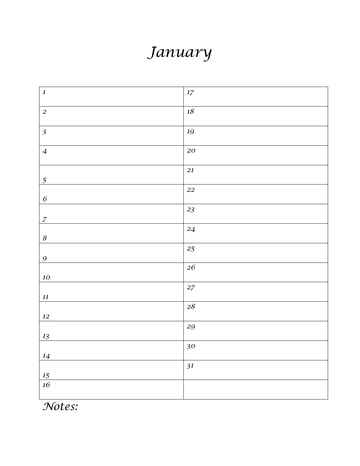### *January*

| $\boldsymbol{1}$           | $17\,$            |
|----------------------------|-------------------|
| $\overline{a}$             | $18\,$            |
| $\mathfrak{Z}$             | $19\,$            |
| $\overline{4}$             | ${\bf 20}$        |
| $\overline{5}$             | $21\,$            |
| $\boldsymbol{6}$           | $\mathfrak{22}$   |
|                            | $2\sqrt{3}$       |
| $\overline{z}$             | 24                |
| $\boldsymbol{\mathcal{S}}$ | 25                |
| $\boldsymbol{9}$           | $26\,$            |
| $10\,$                     | $27\,$            |
| $\it 11$                   | ${\bf 28}$        |
| $12\,$                     | $\boldsymbol{29}$ |
| $13\,$                     |                   |
| $14\,$                     | 30                |
| $15\,$                     | 31                |
| $16\,$                     |                   |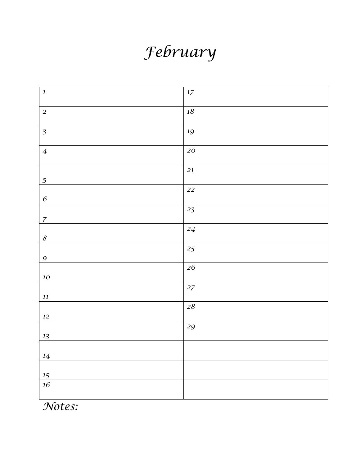# *February*

| $\boldsymbol{1}$           | $17\,$      |
|----------------------------|-------------|
| $\overline{c}$             | $18\,$      |
| $\mathfrak{Z}$             | 19          |
| $\boldsymbol{4}$           | 20          |
| $\overline{5}$             | 21          |
| $\boldsymbol{6}$           | 22          |
| $\overline{z}$             | $2\sqrt{3}$ |
| $\boldsymbol{\mathcal{S}}$ | $\sqrt{24}$ |
| $\boldsymbol{9}$           | 25          |
| $10\,$                     | ${\bf 26}$  |
| $\it 11$                   | $27\,$      |
| $12\,$                     | $28\,$      |
| $13\,$                     | 29          |
| $14\,$                     |             |
| $15\,$                     |             |
| $16\,$                     |             |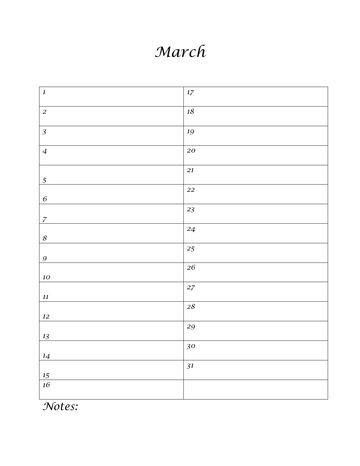#### *March*

| $\boldsymbol{I}$           | $17\,$      |
|----------------------------|-------------|
| $\overline{a}$             | $18\,$      |
| $\overline{3}$             | $19\,$      |
| $\overline{4}$             | ${\bf 20}$  |
|                            | $\sqrt{21}$ |
| $\overline{5}$             | 22          |
| $\boldsymbol{6}$           | 23          |
| $\boldsymbol{z}$           |             |
| $\boldsymbol{\mathcal{S}}$ | $24\,$      |
| $\boldsymbol{9}$           | 25          |
|                            | $\sqrt{26}$ |
| ${\bf\it 10}$              | $27\,$      |
| $\it 11$                   | $28\,$      |
| $12\,$                     | 29          |
| $13\,$                     |             |
| $14\,$                     | 30          |
| $15\,$                     | 31          |
| $16\,$                     |             |
|                            |             |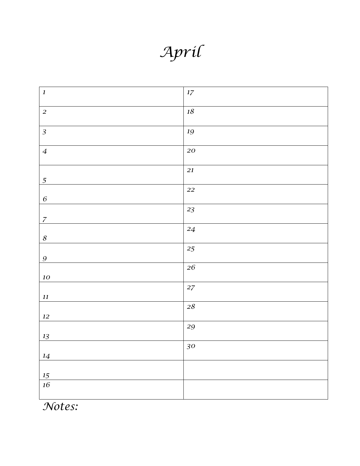*April*

| $\boldsymbol{1}$           | $17\,$      |
|----------------------------|-------------|
| $\overline{a}$             | $18\,$      |
| $\overline{3}$             | $19\,$      |
| $\boldsymbol{4}$           | ${\bf 20}$  |
| $\overline{5}$             | 21          |
| $\boldsymbol{6}$           | ${\bf 22}$  |
| $\boldsymbol{z}$           | $2\sqrt{3}$ |
| $\boldsymbol{\mathcal{S}}$ | $\sqrt{24}$ |
| $\boldsymbol{9}$           | 25          |
| ${\bf\it 10}$              | ${\bf 26}$  |
| $\it 11$                   | $27\,$      |
| $12\,$                     | ${\bf 28}$  |
| $13\,$                     | 29          |
| $14\,$                     | 30          |
| 15                         |             |
| $16\,$                     |             |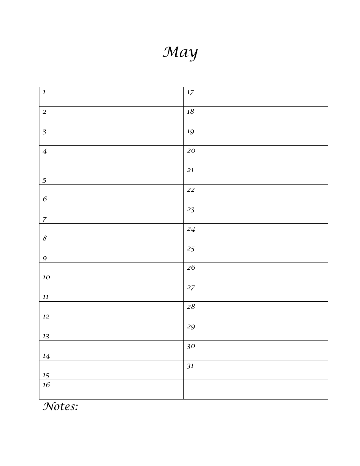*May*

| $\boldsymbol{I}$           | $17\,$      |
|----------------------------|-------------|
| $\overline{a}$             | $18\,$      |
| $\overline{3}$             | 19          |
| $\overline{4}$             | ${\bf 20}$  |
| $\overline{5}$             | 21          |
| $\boldsymbol{6}$           | ${\bf 22}$  |
| $\boldsymbol{7}$           | $2\sqrt{3}$ |
| $\boldsymbol{\mathcal{S}}$ | 24          |
| $\mathfrak{g}$             | 25          |
| $10\,$                     | $\sqrt{26}$ |
| $\it 11$                   | $27\,$      |
| $12\,$                     | ${\bf 28}$  |
| $13\,$                     | 29          |
| 14                         | 30          |
| $15\,$                     | 31          |
| 16                         |             |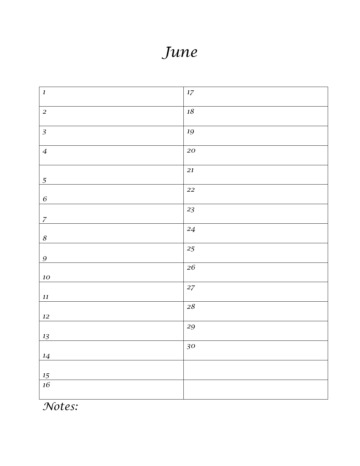#### *June*

| $\boldsymbol{l}$           | $17\,$      |
|----------------------------|-------------|
| $\overline{c}$             | $18\,$      |
| $\overline{3}$             | 19          |
| $\overline{4}$             | ${\bf 20}$  |
| $\overline{5}$             | 21          |
| $\boldsymbol{6}$           | 22          |
| $\overline{z}$             | $2\sqrt{3}$ |
| $\boldsymbol{\mathcal{S}}$ | $\sqrt{24}$ |
| $\boldsymbol{9}$           | $25\,$      |
| $10\,$                     | ${\bf 26}$  |
| $\it 11$                   | $27\,$      |
| $12\,$                     | $28\,$      |
| $13\,$                     | 29          |
| $14\,$                     | 30          |
| $15\,$                     |             |
| $16\,$                     |             |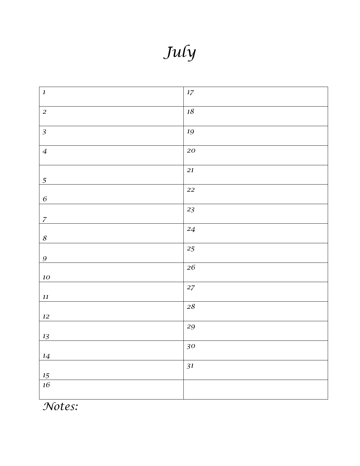*July*

| $\boldsymbol{l}$           | $17\,$      |
|----------------------------|-------------|
| $\overline{a}$             | $18\,$      |
| $\overline{3}$             | 19          |
| $\overline{4}$             | ${\bf 20}$  |
| $\overline{5}$             | $\sqrt{21}$ |
| $\boldsymbol{6}$           | 22          |
| $\overline{z}$             | $2\sqrt{3}$ |
| $\boldsymbol{\mathcal{S}}$ | $\sqrt{24}$ |
| $\boldsymbol{9}$           | $25\,$      |
| $10\,$                     | ${\bf 26}$  |
| $\it 11$                   | $27\,$      |
| $12\,$                     | $28\,$      |
| $13\,$                     | 29          |
| $14\,$                     | 30          |
| $15\,$                     | 31          |
| $16\,$                     |             |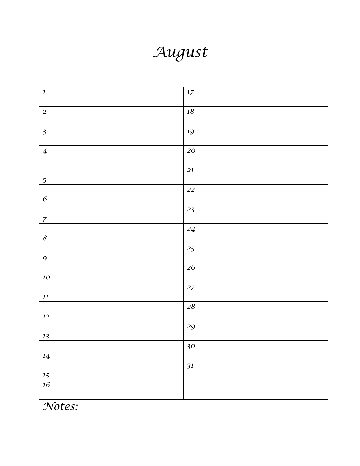#### *August*

| $\boldsymbol{1}$           | $17\,$            |
|----------------------------|-------------------|
| $\overline{c}$             | $18\,$            |
| $\mathfrak{Z}$             | 19                |
| $\boldsymbol{4}$           | 20                |
| $\overline{5}$             | $\sqrt{21}$       |
| $\boldsymbol{6}$           | ${\bf 22}$        |
| $\overline{z}$             | $2\sqrt{3}$       |
| $\boldsymbol{\mathcal{S}}$ | $\sqrt{24}$       |
| $\boldsymbol{9}$           | 25                |
| $10\,$                     | ${\bf 26}$        |
| $\it 11$                   | $27\,$            |
| $12\,$                     | $28\,$            |
| $13\,$                     | $\boldsymbol{29}$ |
| $14\,$                     | 30                |
| $15\,$                     | 31                |
| $16\,$                     |                   |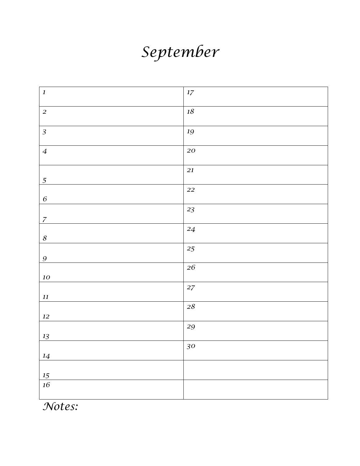## *September*

| $\boldsymbol{1}$           | $17\,$      |
|----------------------------|-------------|
| $\overline{a}$             | $18\,$      |
| $\overline{3}$             | $19\,$      |
| $\boldsymbol{4}$           | ${\bf 20}$  |
| $\overline{5}$             | 21          |
| $\boldsymbol{6}$           | ${\bf 22}$  |
| $\boldsymbol{z}$           | $2\sqrt{3}$ |
| $\boldsymbol{\mathcal{S}}$ | $\sqrt{24}$ |
| $\boldsymbol{9}$           | 25          |
| ${\bf\it 10}$              | ${\bf 26}$  |
| $\it 11$                   | $27\,$      |
| $12\,$                     | ${\bf 28}$  |
| $13\,$                     | 29          |
| $14\,$                     | 30          |
| 15                         |             |
| $16\,$                     |             |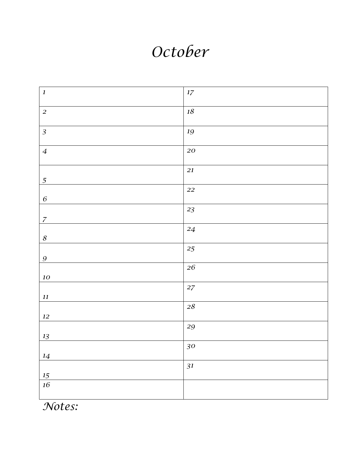#### *October*

| $\boldsymbol{l}$           | $17\,$      |
|----------------------------|-------------|
| $\overline{a}$             | $18\,$      |
| $\overline{3}$             | 19          |
| $\overline{4}$             | ${\bf 20}$  |
| $\overline{5}$             | $\sqrt{21}$ |
| $\boldsymbol{6}$           | 22          |
| $\overline{z}$             | $2\sqrt{3}$ |
| $\boldsymbol{\mathcal{S}}$ | $\sqrt{24}$ |
| $\boldsymbol{9}$           | $25\,$      |
| $10\,$                     | ${\bf 26}$  |
| $\it 11$                   | $27\,$      |
| $12\,$                     | $28\,$      |
| $13\,$                     | 29          |
| $14\,$                     | 30          |
| $15\,$                     | 31          |
| $16\,$                     |             |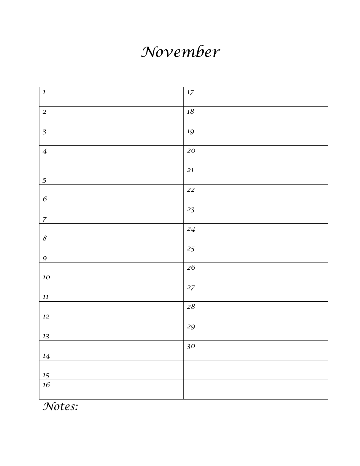### *November*

| $\boldsymbol{I}$           | $17\,$            |
|----------------------------|-------------------|
|                            |                   |
| $\overline{a}$             | $18\,$            |
|                            |                   |
| $\overline{3}$             | $19\,$            |
|                            |                   |
| $\overline{4}$             | ${\bf 20}$        |
|                            | $21\,$            |
|                            |                   |
| $\overline{5}$             |                   |
|                            | 22                |
| $\boldsymbol{6}$           |                   |
|                            | 23                |
| $\boldsymbol{7}$           |                   |
|                            |                   |
|                            | $\sqrt{24}$       |
| $\boldsymbol{\mathcal{S}}$ |                   |
|                            | 25                |
|                            |                   |
| $\boldsymbol{9}$           |                   |
|                            | $\sqrt{26}$       |
| ${\bf\it 10}$              |                   |
|                            |                   |
|                            | $27\,$            |
| $\it 11$                   |                   |
|                            | $2\sqrt{8}$       |
|                            |                   |
| $12\,$                     |                   |
|                            | $\boldsymbol{29}$ |
|                            |                   |
| $13\,$                     |                   |
|                            | $30\,$            |
| $14\,$                     |                   |
|                            |                   |
|                            |                   |
| $15\,$                     |                   |
| $16\,$                     |                   |
|                            |                   |
|                            |                   |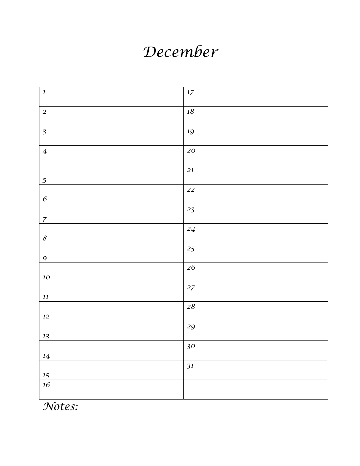#### *December*

| $\boldsymbol{I}$           | $17\,$          |
|----------------------------|-----------------|
| $\overline{a}$             | $18\,$          |
|                            |                 |
| $\overline{3}$             | 19              |
| $\overline{4}$             | ${\bf 20}$      |
|                            |                 |
| $\overline{5}$             | 21              |
|                            |                 |
| $\boldsymbol{6}$           | 22              |
|                            | $2\sqrt{3}$     |
| $\boldsymbol{7}$           |                 |
|                            | $24\phantom{.}$ |
| $\boldsymbol{\mathcal{S}}$ |                 |
|                            | 25              |
| $\boldsymbol{g}$           |                 |
|                            | ${\bf 26}$      |
| ${\bf\it 10}$              |                 |
|                            | $27\,$          |
| $\it 11$                   |                 |
|                            | $28\,$          |
| $12\,$                     |                 |
|                            | 29              |
| $13\,$                     |                 |
|                            | 30              |
| 14                         |                 |
|                            | 31              |
| $15\,$                     |                 |
| $16\,$                     |                 |
|                            |                 |